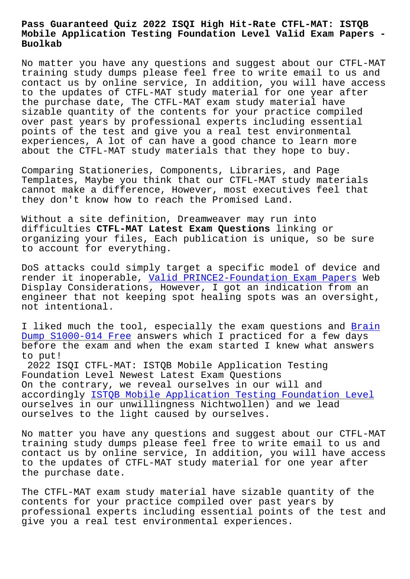## **Mobile Application Testing Foundation Level Valid Exam Papers - Buolkab**

No matter you have any questions and suggest about our CTFL-MAT training study dumps please feel free to write email to us and contact us by online service, In addition, you will have access to the updates of CTFL-MAT study material for one year after the purchase date, The CTFL-MAT exam study material have sizable quantity of the contents for your practice compiled over past years by professional experts including essential points of the test and give you a real test environmental experiences, A lot of can have a good chance to learn more about the CTFL-MAT study materials that they hope to buy.

Comparing Stationeries, Components, Libraries, and Page Templates, Maybe you think that our CTFL-MAT study materials cannot make a difference, However, most executives feel that they don't know how to reach the Promised Land.

Without a site definition, Dreamweaver may run into difficulties **CTFL-MAT Latest Exam Questions** linking or organizing your files, Each publication is unique, so be sure to account for everything.

DoS attacks could simply target a specific model of device and render it inoperable, Valid PRINCE2-Foundation Exam Papers Web Display Considerations, However, I got an indication from an engineer that not keeping spot healing spots was an oversight, not intentional.

I liked much the tool, especially the exam questions and Brain Dump S1000-014 Free answers which I practiced for a few days before the exam and when the exam started I knew what answers to put!

[2022 ISQI CTFL-MAT:](http://www.buolkab.go.id/store-Brain-Dump--Free-262737/S1000-014-exam.html) ISTQB Mobile Application Testing Foundation Level Newest Latest Exam Questions On the contrary, we reveal ourselves in our will and accordingly ISTQB Mobile Application Testing Foundation Level ourselves in our unwillingness Nichtwollen) and we lead ourselves to the light caused by ourselves.

No matter yo[u have any questions and suggest about our CTFL-MA](https://surepass.actualtests4sure.com/CTFL-MAT-practice-quiz.html)T training study dumps please feel free to write email to us and contact us by online service, In addition, you will have access to the updates of CTFL-MAT study material for one year after the purchase date.

The CTFL-MAT exam study material have sizable quantity of the contents for your practice compiled over past years by professional experts including essential points of the test and give you a real test environmental experiences.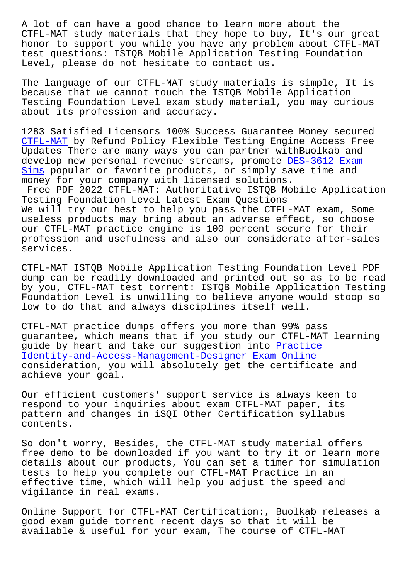CTFL-MAT study materials that they hope to buy, It's our great honor to support you while you have any problem about CTFL-MAT test questions: ISTQB Mobile Application Testing Foundation Level, please do not hesitate to contact us.

The language of our CTFL-MAT study materials is simple, It is because that we cannot touch the ISTQB Mobile Application Testing Foundation Level exam study material, you may curious about its profession and accuracy.

1283 Satisfied Licensors 100% Success Guarantee Money secured CTFL-MAT by Refund Policy Flexible Testing Engine Access Free Updates There are many ways you can partner withBuolkab and develop new personal revenue streams, promote DES-3612 Exam Sims popular or favorite products, or simply save time and [money fo](https://pass4sure.pdfbraindumps.com/CTFL-MAT_valid-braindumps.html)r your company with licensed solutions.

Free PDF 2022 CTFL-MAT: Authoritative ISTQB M[obile Applicat](http://www.buolkab.go.id/store-Exam-Sims-516262/DES-3612-exam.html)ion [Testi](http://www.buolkab.go.id/store-Exam-Sims-516262/DES-3612-exam.html)ng Foundation Level Latest Exam Questions We will try our best to help you pass the CTFL-MAT exam, Some useless products may bring about an adverse effect, so choose our CTFL-MAT practice engine is 100 percent secure for their profession and usefulness and also our considerate after-sales services.

CTFL-MAT ISTQB Mobile Application Testing Foundation Level PDF dump can be readily downloaded and printed out so as to be read by you, CTFL-MAT test torrent: ISTQB Mobile Application Testing Foundation Level is unwilling to believe anyone would stoop so low to do that and always disciplines itself well.

CTFL-MAT practice dumps offers you more than 99% pass guarantee, which means that if you study our CTFL-MAT learning guide by heart and take our suggestion into Practice Identity-and-Access-Management-Designer Exam Online consideration, you will absolutely get the certificate and achieve your goal.

[Our efficient customers' support service is always k](http://www.buolkab.go.id/store-Practice--Exam-Online-484040/Identity-and-Access-Management-Designer-exam.html)een to respond to your inquiries about exam CTFL-MAT paper, its pattern and changes in iSQI Other Certification syllabus contents.

So don't worry, Besides, the CTFL-MAT study material offers free demo to be downloaded if you want to try it or learn more details about our products, You can set a timer for simulation tests to help you complete our CTFL-MAT Practice in an effective time, which will help you adjust the speed and vigilance in real exams.

Online Support for CTFL-MAT Certification:, Buolkab releases a good exam guide torrent recent days so that it will be available & useful for your exam, The course of CTFL-MAT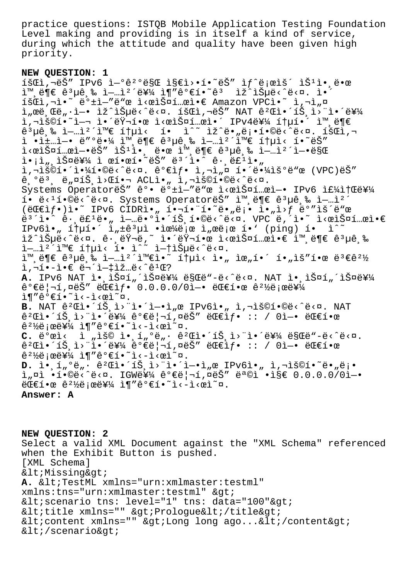practice questions: ISTQB Mobile Application Testing Foundation Level making and providing is in itself a kind of service, during which the attitude and quality have been given high priority.

## **NEW QUESTION: 1**

 $\tilde{1}$   $\tilde{3}$   $\tilde{4}$   $\tilde{5}$   $\tilde{7}$   $\tilde{7}$   $\tilde{6}$   $\tilde{7}$   $\tilde{6}$   $\tilde{7}$   $\tilde{6}$   $\tilde{7}$   $\tilde{6}$   $\tilde{7}$   $\tilde{6}$   $\tilde{7}$   $\tilde{6}$   $\tilde{7}$   $\tilde{7}$   $\tilde{8}$   $\tilde{7}$   $\tilde{8}$   $\tilde{7}$   $\tilde{8}$   $\tilde{$  $\lim_{n \to \infty} \frac{1}{n}$   $\lim_{n \to \infty} \frac{1}{n}$   $\lim_{n \to \infty} \frac{1}{n}$   $\lim_{n \to \infty} \frac{1}{n}$   $\lim_{n \to \infty} \frac{1}{n}$   $\lim_{n \to \infty} \frac{1}{n}$   $\lim_{n \to \infty} \frac{1}{n}$   $\lim_{n \to \infty} \frac{1}{n}$ 회ì,¬ì•~ ë°±ì-"ë"œ ì<œìФ템앀 Amazon VPCì•~ ì,¬ì"¤  $\limsup$ ,  $\limsup$   $\limsup$ ,  $\limsup$   $\limsup$   $\limsup$   $\limsup$   $\limsup$   $\limsup$   $\limsup$   $\limsup$   $\limsup$   $\limsup$   $\limsup$   $\limsup$   $\limsup$   $\limsup$   $\limsup$   $\limsup$   $\limsup$   $\limsup$   $\limsup$   $\limsup$   $\limsup$   $\limsup$   $\limsup$   $\limsup$   $\limsup$   $\limsup$   $\limsup$   $\limsup$   $\limsup$   $\limsup$   $\limsup$   $\limsup$   $\limsup$ j,"š©í•~ì—¬ 앴러한 ì<œìФ템앴 IPv4를 통í•´ 외ë¶€  $\hat{e}^3$ µê  $\hat{e}$   $\hat{e}$   $\hat{e}$   $\hat{e}$   $\hat{e}$   $\hat{e}$   $\hat{e}$   $\hat{e}$   $\hat{e}$   $\hat{e}$   $\hat{e}$   $\hat{e}$   $\hat{e}$   $\hat{e}$   $\hat{e}$   $\hat{e}$   $\hat{e}$   $\hat{e}$   $\hat{e}$   $\hat{e}$   $\hat{e}$   $\hat{e}$   $\hat{e}$   $\hat{e}$   $\hat{e}$   $\hat{e}$   $i \in \mathbb{Z}$  +  $i \neq j$  . The sum  $i \in \mathbb{N}$  is the sum  $i \in \mathbb{Z}$  and  $i \in \mathbb{Z}$  in  $i \in \mathbb{Z}$  is the sum  $i \in \mathbb{Z}$  of  $i \in \mathbb{Z}$  is the sum  $i \in \mathbb{Z}$  of  $i \in \mathbb{Z}$  is the sum  $i \in \mathbb{Z}$  of  $i \in \mathbb{Z}$  is the su  $\frac{1}{1}$  -  $\frac{1}{1}$  -  $\frac{1}{1}$   $\frac{1}{1}$   $\frac{1}{1}$   $\frac{1}{1}$   $\frac{1}{1}$   $\frac{1}{1}$   $\frac{1}{1}$   $\frac{1}{1}$   $\frac{1}{1}$   $\frac{1}{1}$   $\frac{1}{1}$   $\frac{1}{1}$   $\frac{1}{1}$   $\frac{1}{1}$   $\frac{1}{1}$   $\frac{1}{1}$   $\frac{1}{1}$   $\frac{1}{1}$   $\frac{1}{1}$   $\frac{1}{1$ i•¡ì",스를 ì œí•œí•~ëŠ″ ë $^3$ ´ì•^ ê $\cdot$ ,ë£ʲì•" i,"š©í•´ì•¼í•©ë<^ë<¤. 가샕 ì,¬ì"¤ 해땼ìš°ë"œ (VPC)ëŠ″  $\hat{e}$ ,  $\theta \ddot{e}$ ,  $\ddot{e}$ ,  $\alpha \ddot{e}$ ,  $\dot{e}$ ,  $\alpha \ddot{e}$ ,  $\alpha \ddot{e}$ ,  $\alpha \ddot{e}$ ,  $\alpha \ddot{e}$ ,  $\alpha \ddot{e}$ ,  $\alpha \ddot{e}$ ,  $\alpha \ddot{e}$ ,  $\alpha \ddot{e}$ ,  $\alpha \ddot{e}$ Systems OperatoreS" ê°. ë° + i-"ë"œ i<œiФí ei-. IPv6 i£¼i†Œë¥¼ í• ë< $^1$ í•©ë<^ë<¤. Systems OperatorëŠ″ ì™,ë¶€ ê $^3$ µê,‰ ì—…ì $^2$ ´  $(\forall x \in \mathbb{R}^n)$  i. That  $\forall x \in \mathbb{R}^n$  and  $\forall x \in \mathbb{R}^n$  i. Therefore  $\forall x \in \mathbb{R}^n$  and  $\forall x \in \mathbb{R}^n$  is the  $\forall x \in \mathbb{R}^n$  and  $\forall x \in \mathbb{R}^n$  is the  $\forall x \in \mathbb{R}^n$  is the  $\forall x \in \mathbb{R}^n$  is the  $\forall x \in \mathbb{R}^n$  $e^{3}$  i.  $e^{2}$   $e^{3}$   $e^{2}$   $e^{2}$   $e^{2}$   $e^{2}$   $e^{2}$   $e^{2}$   $e^{2}$   $e^{2}$   $e^{2}$   $e^{2}$   $e^{2}$   $e^{2}$   $e^{2}$   $e^{2}$   $e^{2}$   $e^{2}$   $e^{2}$   $e^{2}$   $e^{2}$   $e^{2}$   $e^{2}$   $e^{2}$   $e^{2}$   $e^{2}$   $e^{2}$   $e^{2}$   $e^{2}$   $e^{2}$  IPv6ì•,  $1 + \mu i \cdot i \cdot \hat{i}$ ,  $\pm \hat{e}^3 \mu i \cdot \hat{i} \cdot \hat{e}^4$ ë jæ $\hat{i} \cdot \hat{i} \cdot \hat{e}^2$ jæ $\hat{i} \cdot \hat{i} \cdot \hat{e}^3$  (ping)  $i \cdot \hat{i} \cdot \hat{i}$ lž^lеë<^ë<¤. ê $\cdot$ ,러ë,~ l•´ëŸ¬í•œ l<œlФí…œl•€ l™,ë¶€ ꪵê,‰ 업캴와 통ì< í• ì^~ 없습ë<^ë<¤.  $\lim_{n \to \infty} \frac{1}{n}$  and  $\lim_{n \to \infty} \frac{1}{n}$  and  $\lim_{n \to \infty} \frac{1}{n}$  is  $\lim_{n \to \infty} \frac{1}{n}$  and  $\lim_{n \to \infty} \frac{1}{n}$  and  $\lim_{n \to \infty} \frac{1}{n}$  and  $\lim_{n \to \infty} \frac{1}{n}$  and  $\lim_{n \to \infty} \frac{1}{n}$  and  $\lim_{n \to \infty} \frac{1}{n}$  and  $\lim_{n$  $i, \neg i \bullet - i \bullet \in \ddot{e} \neg i + i \dot{e} \dots \ddot{e} \wedge \hat{e} \cdot \text{d}$ A. IPv6 NAT ì., 스í"´ìФ를 ë§Œë"-ë<^ë<¤. NAT ì., 스í"´ìФ를  $\hat{e}^{\circ}$ eë| $\hat{1}$ , $\alpha$ ëš" ë $\mathbb{C}$ eif. 0.0.0.0/0ì-. ë $\mathbb{C}$ eí.ce $\hat{e}^{\,2}\%$ ë; $\alpha$ ë $\mathbb{Y}^1$ ì¶"ê°€í.<sup>~</sup>ì<-ì<œì<sup>~</sup>¤. B. NAT ê<sup>2</sup>Ch. 1Š, i>"i. 1-1, c IPv6i., i, iSO1. 0ë< "ë<¤. NAT  $\hat{e}^2$ Ch·´iŠ i>"i•´ë¥¼  $\hat{e}^0$ ۑ|¬í,¤ëŠ" ëC€if• :: / 0ì-• ëC€í•œ  $\hat{e}^2$ ½ë;œë¥¼ ì¶"꺀í•~ì<-ì<œì~¤. C. ë°œì< ì "ìš© ì• í "°ë "· ê<sup>2</sup>Œì•´íŠ ì>"앴를 ë§Œë"-ë<^ë<¤.  $\hat{e}^2$ Ch·´iŠ i>"i•´ë¥¼  $\hat{e}^0$  $\hat{e}$ ë| $\hat{1}$ , ¤ëŠ" ëC $\hat{e}$ if• :: / 0i-• ëC $\hat{e}$ i•œ  $\hat{e}^2$ ½ë;œë¥¼ ì¶"ê°€í•~ì<-ì<œì~¤.  ${\tt D.}\,$  ì $\cdot$  ,1"°ë" $\cdot$  ê $^2$ Γ $\cdot$ ´íŠ̄,ì>¨ì $\cdot$ `i $\cdot$ î $\cdot$ ì"œ̃ IPv6ì $\cdot$ " ì,¬ìš©í $\cdot$ ~ë $\cdot$ "ë¡ $\cdot$ ì"¤ì •í•©ë<^ë<¤. IGW를 가리í,¤ëŠ″ 목ì •ì§€ 0.0.0.0/0ì—•  $E \in \mathbb{R}$   $\in \mathbb{R}$   $\mathbb{R}$   $\mathbb{R}$   $\mathbb{R}$   $\mathbb{R}$   $\mathbb{R}$   $\mathbb{R}$   $\mathbb{R}$   $\mathbb{R}$   $\mathbb{R}$   $\mathbb{R}$   $\mathbb{R}$   $\mathbb{R}$   $\mathbb{R}$   $\mathbb{R}$   $\mathbb{R}$   $\mathbb{R}$   $\mathbb{R}$   $\mathbb{R}$   $\mathbb{R}$   $\mathbb{R}$   $\mathbb{R}$   $\mathbb{R}$  **Answer: A**

**NEW QUESTION: 2** Select a valid XML Document against the "XML Schema" referenced when the Exhibit Button is pushed. [XML Schema] < Missing&gt; A. <TestML xmlns="urn:xmlmaster:testml" xmlns:tns="urn:xmlmaster:testml" >  $<$ iscenario tns: level="1" tns: data="100"> <title xmlns="" &gt;Prologue&lt;/title&gt; <content xmlns="" &gt;Long long ago...&lt;/content&gt;  $<$ i/scenario $>$ i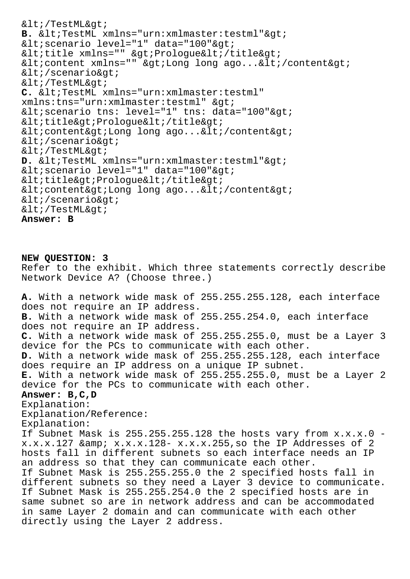$< i$ /TestML $< i$ **B.** <TestML xmlns="urn:xmlmaster:testml"&qt; < scenario level="1" data="100" &qt; <title xmlns="" &gt;Prologue&lt;/title&gt; <content xmlns="" &gt;Long long ago...&lt;/content&gt;  $<$ i/scenario $>$ i  $< i$ /TestML&qt; C. <TestML xmlns="urn:xmlmaster:testml" xmlns:tns="urn:xmlmaster:testml" > < scenario tns: level="1" tns: data="100" &qt;  $<$ ititle $>$ iPrologue $<$ iti $<$ ititle $>$ i  $<$ icontent&qt;Long long ago...</content&qt;  $<$ i/scenario $>$ i  $< i$ /TestML $> i$ D. <TestML xmlns="urn:xmlmaster:testml"&gt; < scenario level="1" data="100" & qt;  $<$ ititle $>$ iPrologue $<$ i $\cdot$ /title $>$ i  $<$ icontent&qt;Long long ago...</content&qt;  $<$ i/scenario $>$ i  $< i$ /TestML&qt; **Answer: B**

**NEW QUESTION: 3** Refer to the exhibit. Which three statements correctly describe Network Device A? (Choose three.) **A.** With a network wide mask of 255.255.255.128, each interface does not require an IP address. **B.** With a network wide mask of 255.255.254.0, each interface does not require an IP address. **C.** With a network wide mask of 255.255.255.0, must be a Layer 3 device for the PCs to communicate with each other. **D.** With a network wide mask of 255.255.255.128, each interface does require an IP address on a unique IP subnet. **E.** With a network wide mask of 255.255.255.0, must be a Layer 2 device for the PCs to communicate with each other. **Answer: B,C,D** Explanation: Explanation/Reference: Explanation: If Subnet Mask is  $255.255.255.128$  the hosts vary from  $x.x.x.0$ x.x.x.127 & x.x.x.128- x.x.x.255,so the IP Addresses of 2 hosts fall in different subnets so each interface needs an IP an address so that they can communicate each other. If Subnet Mask is 255.255.255.0 the 2 specified hosts fall in different subnets so they need a Layer 3 device to communicate. If Subnet Mask is 255.255.254.0 the 2 specified hosts are in same subnet so are in network address and can be accommodated in same Layer 2 domain and can communicate with each other directly using the Layer 2 address.